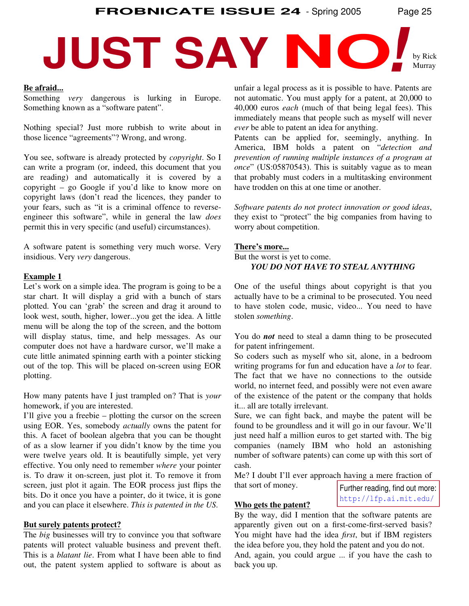**FROBNICATE ISSUE 24** - Spring 2005 Page 25

# **JUST SAY IN O**

#### **Be afraid...**

Something *very* dangerous is lurking in Europe. Something known as a "software patent".

Nothing special? Just more rubbish to write about in those licence "agreements"? Wrong, and wrong.

You see, software is already protected by *copyright*. So I can write a program (or, indeed, this document that you are reading) and automatically it is covered by a copyright – go Google if you'd like to know more on copyright laws (don't read the licences, they pander to your fears, such as "it is a criminal offence to reverseengineer this software", while in general the law *does* permit this in very specific (and useful) circumstances).

A software patent is something very much worse. Very insidious. Very *very* dangerous.

#### **Example 1**

Let's work on a simple idea. The program is going to be a star chart. It will display a grid with a bunch of stars plotted. You can 'grab' the screen and drag it around to look west, south, higher, lower...you get the idea. A little menu will be along the top of the screen, and the bottom will display status, time, and help messages. As our computer does not have a hardware cursor, we'll make a cute little animated spinning earth with a pointer sticking out of the top. This will be placed on-screen using EOR plotting.

How many patents have I just trampled on? That is *your* homework, if you are interested.

I'll give you a freebie – plotting the cursor on the screen using EOR. Yes, somebody *actually* owns the patent for this. A facet of boolean algebra that you can be thought of as a slow learner if you didn't know by the time you were twelve years old. It is beautifully simple, yet very effective. You only need to remember *where* your pointer is. To draw it on-screen, just plot it. To remove it from screen, just plot it again. The EOR process just flips the bits. Do it once you have a pointer, do it twice, it is gone and you can place it elsewhere. *This is patented in the US*.

#### **But surely patents protect?**

The *big* businesses will try to convince you that software patents will protect valuable business and prevent theft. This is a *blatant lie*. From what I have been able to find out, the patent system applied to software is about as unfair a legal process as it is possible to have. Patents are not automatic. You must apply for a patent, at 20,000 to 40,000 euros *each* (much of that being legal fees). This immediately means that people such as myself will never *ever* be able to patent an idea for anything.

Patents can be applied for, seemingly, anything. In America, IBM holds a patent on "*detection and prevention of running multiple instances of a program at once*" (US:05870543). This is suitably vague as to mean that probably must coders in a multitasking environment have trodden on this at one time or another.

*Software patents do not protect innovation or good ideas*, they exist to "protect" the big companies from having to worry about competition.

#### **There's more...**

But the worst is yet to come. *YOU DO NOT HAVE TO STEAL ANYTHING*

One of the useful things about copyright is that you actually have to be a criminal to be prosecuted. You need to have stolen code, music, video... You need to have stolen *something*.

You do *not* need to steal a damn thing to be prosecuted for patent infringement.

So coders such as myself who sit, alone, in a bedroom writing programs for fun and education have a *lot* to fear. The fact that we have no connections to the outside world, no internet feed, and possibly were not even aware of the existence of the patent or the company that holds it... all are totally irrelevant.

Sure, we can fight back, and maybe the patent will be found to be groundless and it will go in our favour. We'll just need half a million euros to get started with. The big companies (namely IBM who hold an astonishing number of software patents) can come up with this sort of cash.

Me? I doubt I'll ever approach having a mere fraction of that sort of money.

Further reading, find out more: http://lfp.ai.mit.edu/

**Who gets the patent?** By the way, did I mention that the software patents are apparently given out on a first-come-first-served basis? You might have had the idea *first*, but if IBM registers the idea before you, they hold the patent and you do not. And, again, you could argue ... if you have the cash to back you up.